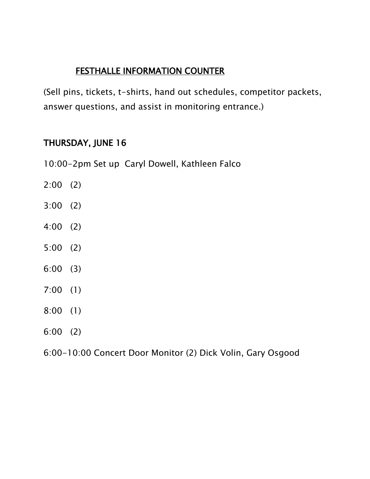(Sell pins, tickets, t-shirts, hand out schedules, competitor packets, answer questions, and assist in monitoring entrance.)

### THURSDAY, JUNE 16

10:00-2pm Set up Caryl Dowell, Kathleen Falco

- 2:00 (2)
- 3:00 (2)
- 4:00 (2)
- 5:00 (2)
- 6:00 (3)
- 7:00 (1)
- 8:00 (1)
- 6:00 (2)
- 6:00-10:00 Concert Door Monitor (2) Dick Volin, Gary Osgood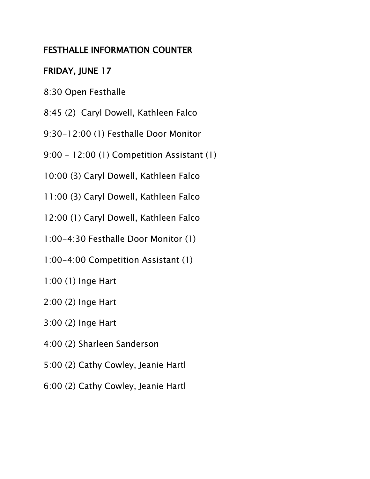# FRIDAY, JUNE 17

- 8:30 Open Festhalle
- 8:45 (2) Caryl Dowell, Kathleen Falco
- 9:30-12:00 (1) Festhalle Door Monitor
- 9:00 12:00 (1) Competition Assistant (1)
- 10:00 (3) Caryl Dowell, Kathleen Falco
- 11:00 (3) Caryl Dowell, Kathleen Falco
- 12:00 (1) Caryl Dowell, Kathleen Falco
- 1:00-4:30 Festhalle Door Monitor (1)
- 1:00-4:00 Competition Assistant (1)
- 1:00 (1) Inge Hart
- 2:00 (2) Inge Hart
- 3:00 (2) Inge Hart
- 4:00 (2) Sharleen Sanderson
- 5:00 (2) Cathy Cowley, Jeanie Hartl
- 6:00 (2) Cathy Cowley, Jeanie Hartl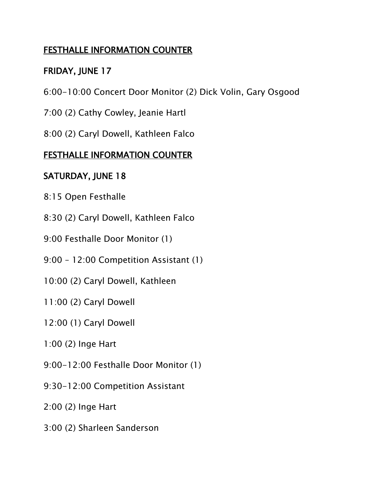# FRIDAY, JUNE 17

- 6:00-10:00 Concert Door Monitor (2) Dick Volin, Gary Osgood
- 7:00 (2) Cathy Cowley, Jeanie Hartl
- 8:00 (2) Caryl Dowell, Kathleen Falco

### FESTHALLE INFORMATION COUNTER

# SATURDAY, JUNE 18

- 8:15 Open Festhalle
- 8:30 (2) Caryl Dowell, Kathleen Falco
- 9:00 Festhalle Door Monitor (1)
- 9:00 12:00 Competition Assistant (1)
- 10:00 (2) Caryl Dowell, Kathleen
- 11:00 (2) Caryl Dowell
- 12:00 (1) Caryl Dowell
- 1:00 (2) Inge Hart
- 9:00-12:00 Festhalle Door Monitor (1)
- 9:30-12:00 Competition Assistant
- 2:00 (2) Inge Hart
- 3:00 (2) Sharleen Sanderson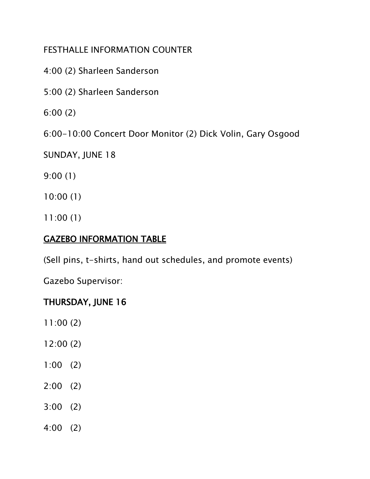- 4:00 (2) Sharleen Sanderson
- 5:00 (2) Sharleen Sanderson
- 6:00 (2)
- 6:00-10:00 Concert Door Monitor (2) Dick Volin, Gary Osgood
- SUNDAY, JUNE 18
- 9:00 (1)
- 10:00 (1)
- 11:00 (1)

#### GAZEBO INFORMATION TABLE

(Sell pins, t-shirts, hand out schedules, and promote events)

Gazebo Supervisor:

### THURSDAY, JUNE 16

- 11:00 (2)
- 12:00 (2)
- 1:00 (2)
- 2:00 (2)
- 3:00 (2)
- 4:00 (2)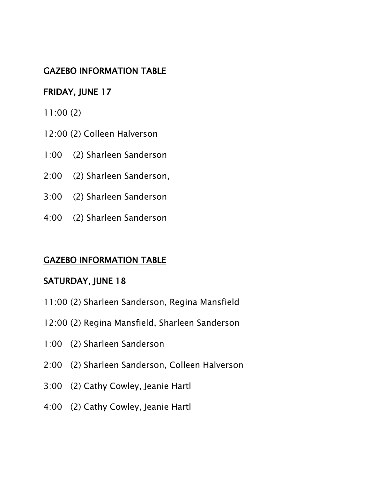### GAZEBO INFORMATION TABLE

### FRIDAY, JUNE 17

- 11:00 (2)
- 12:00 (2) Colleen Halverson
- 1:00 (2) Sharleen Sanderson
- 2:00 (2) Sharleen Sanderson,
- 3:00 (2) Sharleen Sanderson
- 4:00 (2) Sharleen Sanderson

#### GAZEBO INFORMATION TABLE

#### SATURDAY, JUNE 18

- 11:00 (2) Sharleen Sanderson, Regina Mansfield
- 12:00 (2) Regina Mansfield, Sharleen Sanderson
- 1:00 (2) Sharleen Sanderson
- 2:00 (2) Sharleen Sanderson, Colleen Halverson
- 3:00 (2) Cathy Cowley, Jeanie Hartl
- 4:00 (2) Cathy Cowley, Jeanie Hartl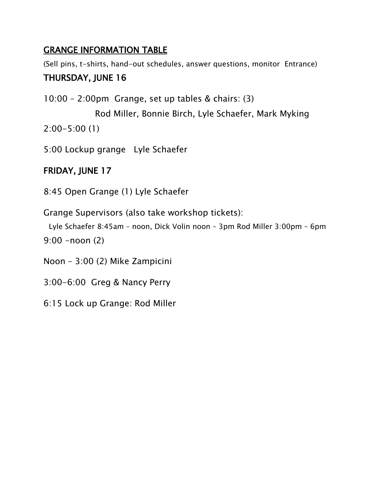# GRANGE INFORMATION TABLE

(Sell pins, t-shirts, hand-out schedules, answer questions, monitor Entrance) THURSDAY, JUNE 16

10:00 – 2:00pm Grange, set up tables & chairs: (3)

 Rod Miller, Bonnie Birch, Lyle Schaefer, Mark Myking 2:00-5:00 (1)

5:00 Lockup grange Lyle Schaefer

# FRIDAY, JUNE 17

8:45 Open Grange (1) Lyle Schaefer

Grange Supervisors (also take workshop tickets):

```
 Lyle Schaefer 8:45am – noon, Dick Volin noon – 3pm Rod Miller 3:00pm – 6pm
9:00 -noon (2)
```
Noon – 3:00 (2) Mike Zampicini

3:00-6:00 Greg & Nancy Perry

6:15 Lock up Grange: Rod Miller